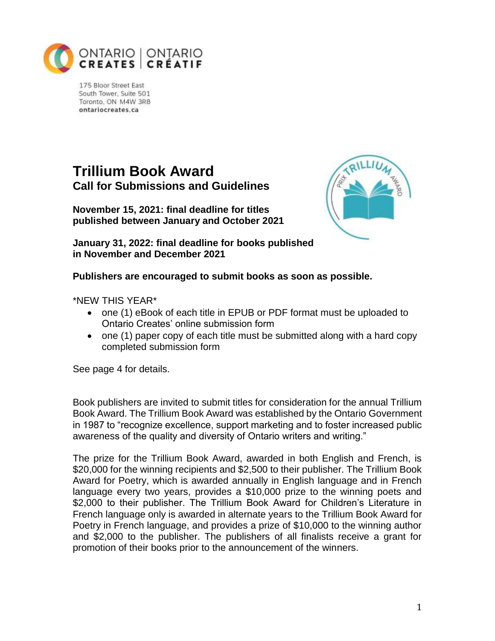

175 Bloor Street East South Tower, Suite 501 Toronto, ON M4W 3R8 ontariocreates ca

# **Trillium Book Award Call for Submissions and Guidelines**

**November 15, 2021: final deadline for titles published between January and October 2021**



**January 31, 2022: final deadline for books published in November and December 2021**

**Publishers are encouraged to submit books as soon as possible.**

\*NEW THIS YEAR\*

- one (1) eBook of each title in EPUB or PDF format must be uploaded to Ontario Creates' online submission form
- one (1) paper copy of each title must be submitted along with a hard copy completed submission form

See page 4 for details.

Book publishers are invited to submit titles for consideration for the annual Trillium Book Award. The Trillium Book Award was established by the Ontario Government in 1987 to "recognize excellence, support marketing and to foster increased public awareness of the quality and diversity of Ontario writers and writing."

The prize for the Trillium Book Award, awarded in both English and French, is \$20,000 for the winning recipients and \$2,500 to their publisher. The Trillium Book Award for Poetry, which is awarded annually in English language and in French language every two years, provides a \$10,000 prize to the winning poets and \$2,000 to their publisher. The Trillium Book Award for Children's Literature in French language only is awarded in alternate years to the Trillium Book Award for Poetry in French language, and provides a prize of \$10,000 to the winning author and \$2,000 to the publisher. The publishers of all finalists receive a grant for promotion of their books prior to the announcement of the winners.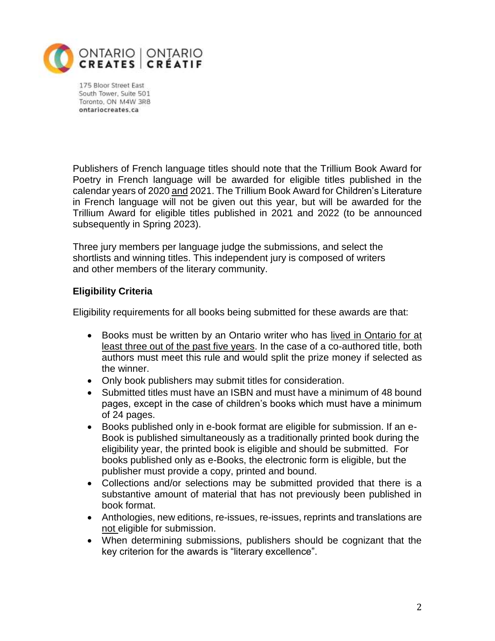

175 Bloor Street East South Tower, Suite 501 Toronto, ON M4W 3R8 ontariocreates.ca

Publishers of French language titles should note that the Trillium Book Award for Poetry in French language will be awarded for eligible titles published in the calendar years of 2020 and 2021. The Trillium Book Award for Children's Literature in French language will not be given out this year, but will be awarded for the Trillium Award for eligible titles published in 2021 and 2022 (to be announced subsequently in Spring 2023).

Three jury members per language judge the submissions, and select the shortlists and winning titles. This independent jury is composed of writers and other members of the literary community.

## **Eligibility Criteria**

Eligibility requirements for all books being submitted for these awards are that:

- Books must be written by an Ontario writer who has lived in Ontario for at least three out of the past five years. In the case of a co-authored title, both authors must meet this rule and would split the prize money if selected as the winner.
- Only book publishers may submit titles for consideration.
- Submitted titles must have an ISBN and must have a minimum of 48 bound pages, except in the case of children's books which must have a minimum of 24 pages.
- Books published only in e-book format are eligible for submission. If an e-Book is published simultaneously as a traditionally printed book during the eligibility year, the printed book is eligible and should be submitted. For books published only as e-Books, the electronic form is eligible, but the publisher must provide a copy, printed and bound.
- Collections and/or selections may be submitted provided that there is a substantive amount of material that has not previously been published in book format.
- Anthologies, new editions, re-issues, re-issues, reprints and translations are not eligible for submission.
- When determining submissions, publishers should be cognizant that the key criterion for the awards is "literary excellence".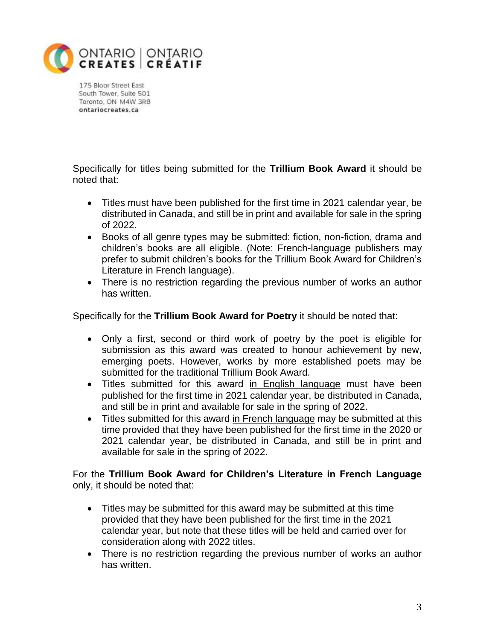

175 Bloor Street East South Tower, Suite 501 Toronto, ON M4W 3R8 ontariocreates.ca

Specifically for titles being submitted for the **Trillium Book Award** it should be noted that:

- Titles must have been published for the first time in 2021 calendar year, be distributed in Canada, and still be in print and available for sale in the spring of 2022.
- Books of all genre types may be submitted: fiction, non-fiction, drama and children's books are all eligible. (Note: French-language publishers may prefer to submit children's books for the Trillium Book Award for Children's Literature in French language).
- There is no restriction regarding the previous number of works an author has written.

Specifically for the **Trillium Book Award for Poetry** it should be noted that:

- Only a first, second or third work of poetry by the poet is eligible for submission as this award was created to honour achievement by new, emerging poets. However, works by more established poets may be submitted for the traditional Trillium Book Award.
- Titles submitted for this award in English language must have been published for the first time in 2021 calendar year, be distributed in Canada, and still be in print and available for sale in the spring of 2022.
- Titles submitted for this award in French language may be submitted at this time provided that they have been published for the first time in the 2020 or 2021 calendar year, be distributed in Canada, and still be in print and available for sale in the spring of 2022.

For the **Trillium Book Award for Children's Literature in French Language** only, it should be noted that:

- Titles may be submitted for this award may be submitted at this time provided that they have been published for the first time in the 2021 calendar year, but note that these titles will be held and carried over for consideration along with 2022 titles.
- There is no restriction regarding the previous number of works an author has written.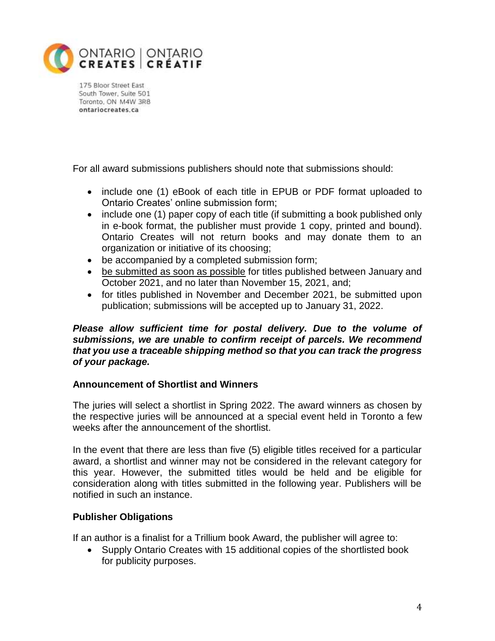

175 Bloor Street East South Tower, Suite 501 Toronto, ON M4W 3R8 ontariocreates ca

For all award submissions publishers should note that submissions should:

- include one (1) eBook of each title in EPUB or PDF format uploaded to Ontario Creates' online submission form;
- include one (1) paper copy of each title (if submitting a book published only in e-book format, the publisher must provide 1 copy, printed and bound). Ontario Creates will not return books and may donate them to an organization or initiative of its choosing;
- be accompanied by a completed submission form;
- be submitted as soon as possible for titles published between January and October 2021, and no later than November 15, 2021, and;
- for titles published in November and December 2021, be submitted upon publication; submissions will be accepted up to January 31, 2022.

#### *Please allow sufficient time for postal delivery. Due to the volume of submissions, we are unable to confirm receipt of parcels. We recommend that you use a traceable shipping method so that you can track the progress of your package.*

## **Announcement of Shortlist and Winners**

The juries will select a shortlist in Spring 2022. The award winners as chosen by the respective juries will be announced at a special event held in Toronto a few weeks after the announcement of the shortlist.

In the event that there are less than five (5) eligible titles received for a particular award, a shortlist and winner may not be considered in the relevant category for this year. However, the submitted titles would be held and be eligible for consideration along with titles submitted in the following year. Publishers will be notified in such an instance.

## **Publisher Obligations**

If an author is a finalist for a Trillium book Award, the publisher will agree to:

• Supply Ontario Creates with 15 additional copies of the shortlisted book for publicity purposes.